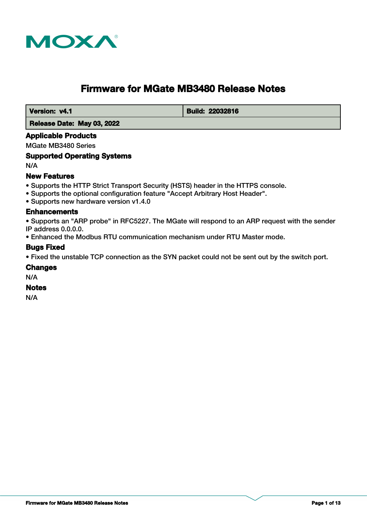

# **Firmware for MGate MB3480 Release Notes**

**Version: v4.1 Build: 22032816** 

 **Release Date: May 03, 2022**

### **Applicable Products**

MGate MB3480 Series

#### **Supported Operating Systems**

N/A

#### **New Features**

- Supports the HTTP Strict Transport Security (HSTS) header in the HTTPS console.
- Supports the optional configuration feature "Accept Arbitrary Host Header".
- Supports new hardware version v1.4.0

#### **Enhancements**

• Supports an "ARP probe" in RFC5227. The MGate will respond to an ARP request with the sender IP address 0.0.0.0.

• Enhanced the Modbus RTU communication mechanism under RTU Master mode.

#### **Bugs Fixed**

• Fixed the unstable TCP connection as the SYN packet could not be sent out by the switch port.

#### **Changes**

N/A

#### **Notes**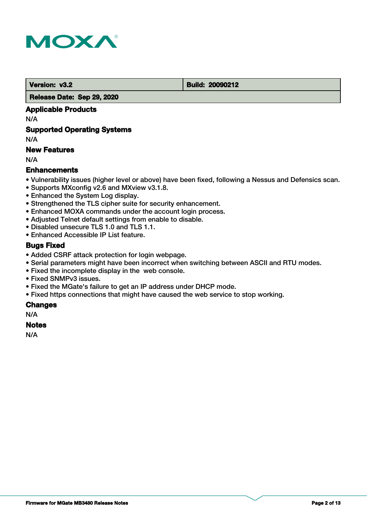

 **Version: v3.2 Build: 20090212** 

 **Release Date: Sep 29, 2020**

## **Applicable Products**

N/A

#### **Supported Operating Systems**

N/A

### **New Features**

N/A

#### **Enhancements**

- Vulnerability issues (higher level or above) have been fixed, following a Nessus and Defensics scan.
- Supports MXconfig v2.6 and MXview v3.1.8.
- Enhanced the System Log display.
- Strengthened the TLS cipher suite for security enhancement.
- Enhanced MOXA commands under the account login process.
- Adjusted Telnet default settings from enable to disable.
- Disabled unsecure TLS 1.0 and TLS 1.1.
- Enhanced Accessible IP List feature.

#### **Bugs Fixed**

- Added CSRF attack protection for login webpage.
- Serial parameters might have been incorrect when switching between ASCII and RTU modes.
- Fixed the incomplete display in the web console.
- Fixed SNMPv3 issues.
- Fixed the MGate's failure to get an IP address under DHCP mode.
- Fixed https connections that might have caused the web service to stop working.

#### **Changes**

N/A

#### **Notes**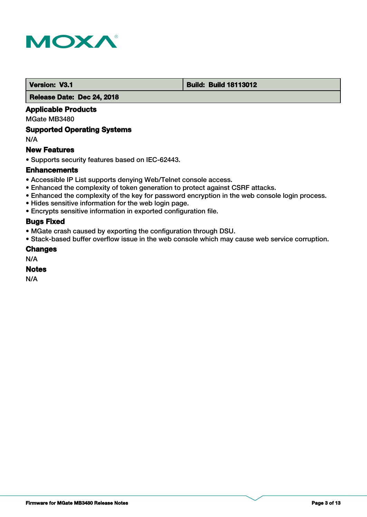

#### **Version: V3.1 Build: Build: Build 18113012**

 **Release Date: Dec 24, 2018**

#### **Applicable Products**

MGate MB3480

#### **Supported Operating Systems**

N/A

#### **New Features**

• Supports security features based on IEC-62443.

#### **Enhancements**

- Accessible IP List supports denying Web/Telnet console access.
- Enhanced the complexity of token generation to protect against CSRF attacks.
- Enhanced the complexity of the key for password encryption in the web console login process.
- Hides sensitive information for the web login page.
- Encrypts sensitive information in exported configuration file.

## **Bugs Fixed**

- MGate crash caused by exporting the configuration through DSU.
- Stack-based buffer overflow issue in the web console which may cause web service corruption.

#### **Changes**

N/A

#### **Notes**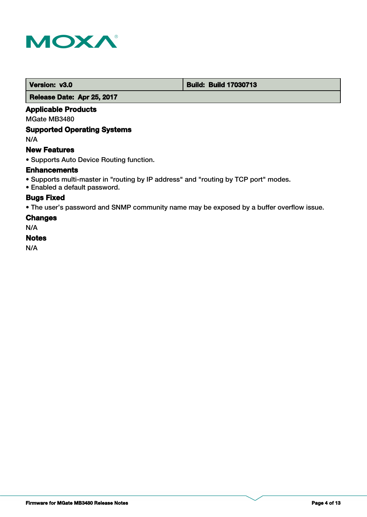

 **Version: v3.0 Build: Build: Build 17030713** 

 **Release Date: Apr 25, 2017**

#### **Applicable Products**

MGate MB3480

#### **Supported Operating Systems**

N/A

### **New Features**

• Supports Auto Device Routing function.

#### **Enhancements**

- Supports multi-master in "routing by IP address" and "routing by TCP port" modes.
- Enabled a default password.

## **Bugs Fixed**

• The user's password and SNMP community name may be exposed by a buffer overflow issue.

#### **Changes**

N/A

#### **Notes**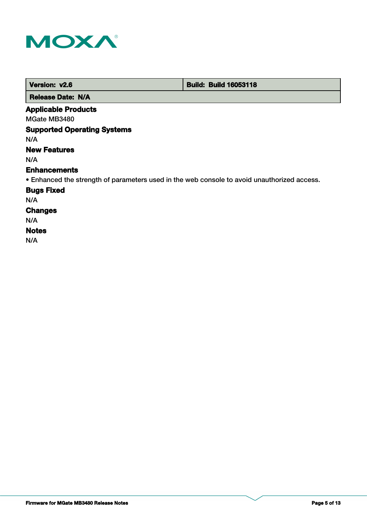

| Version: v2.6            | <b>Build: Build 16053118</b> |
|--------------------------|------------------------------|
| <b>Release Date: N/A</b> |                              |

#### **Applicable Products**

MGate MB3480

## **Supported Operating Systems**

N/A

## **New Features**

N/A

#### **Enhancements**

• Enhanced the strength of parameters used in the web console to avoid unauthorized access.

#### **Bugs Fixed**

N/A

## **Changes**

N/A

#### **Notes**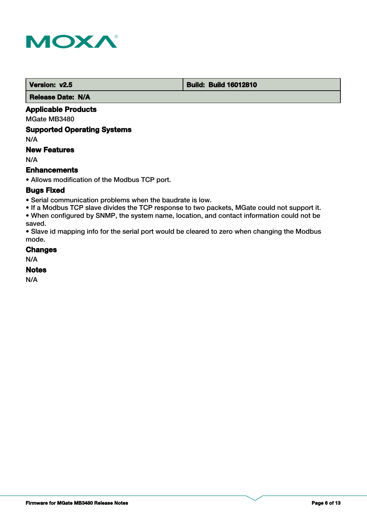

 **Version: v2.5 Build: Build: Build 16012810** 

 **Release Date: N/A**

## **Applicable Products**

MGate MB3480

### **Supported Operating Systems**

N/A

## **New Features**

N/A

#### **Enhancements**

• Allows modification of the Modbus TCP port.

#### **Bugs Fixed**

• Serial communication problems when the baudrate is low.

• If a Modbus TCP slave divides the TCP response to two packets, MGate could not support it. • When configured by SNMP, the system name, location, and contact information could not be saved.

• Slave id mapping info for the serial port would be cleared to zero when changing the Modbus mode.

#### **Changes**

N/A

#### **Notes**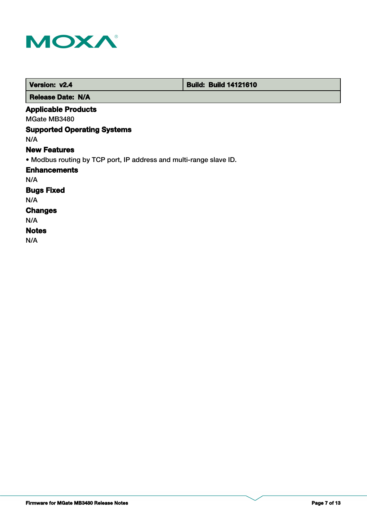

| Version: v2.4                                                      | <b>Build: Build 14121610</b> |  |
|--------------------------------------------------------------------|------------------------------|--|
| <b>Release Date: N/A</b>                                           |                              |  |
| <b>Applicable Products</b>                                         |                              |  |
| MGate MB3480                                                       |                              |  |
| <b>Supported Operating Systems</b>                                 |                              |  |
| N/A                                                                |                              |  |
| <b>New Features</b>                                                |                              |  |
| • Modbus routing by TCP port, IP address and multi-range slave ID. |                              |  |
| <b>Enhancements</b>                                                |                              |  |
| N/A                                                                |                              |  |
| <b>Bugs Fixed</b>                                                  |                              |  |
| N/A                                                                |                              |  |
| <b>Changes</b>                                                     |                              |  |
| N/A                                                                |                              |  |
| <b>Notes</b>                                                       |                              |  |
| N/A                                                                |                              |  |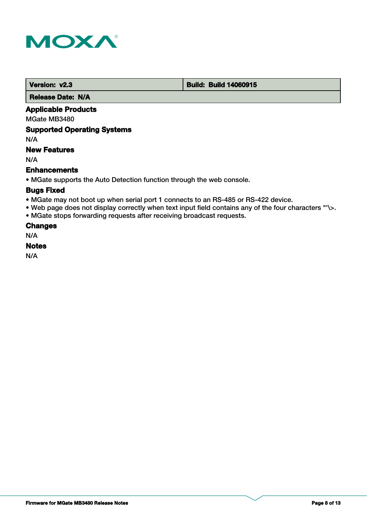

 **Version: v2.3 Build: Build: Build 14060915** 

 **Release Date: N/A**

## **Applicable Products**

MGate MB3480

### **Supported Operating Systems**

N/A

### **New Features**

N/A

#### **Enhancements**

• MGate supports the Auto Detection function through the web console.

#### **Bugs Fixed**

- MGate may not boot up when serial port 1 connects to an RS-485 or RS-422 device.
- Web page does not display correctly when text input field contains any of the four characters "'\>.
- MGate stops forwarding requests after receiving broadcast requests.

#### **Changes**

N/A

#### **Notes**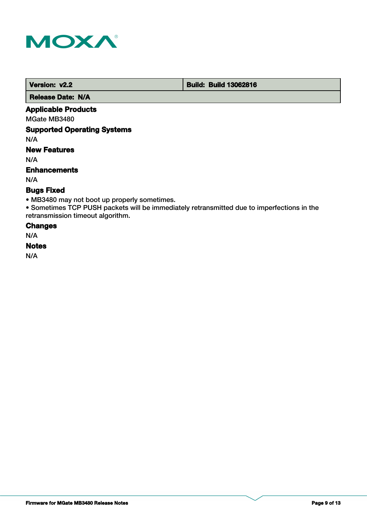

 **Version: v2.2 Build: Build: Build 13062816** 

 **Release Date: N/A**

## **Applicable Products**

MGate MB3480

## **Supported Operating Systems**

N/A

## **New Features**

N/A

#### **Enhancements**

N/A

## **Bugs Fixed**

• MB3480 may not boot up properly sometimes.

• Sometimes TCP PUSH packets will be immediately retransmitted due to imperfections in the retransmission timeout algorithm.

#### **Changes**

N/A

#### **Notes**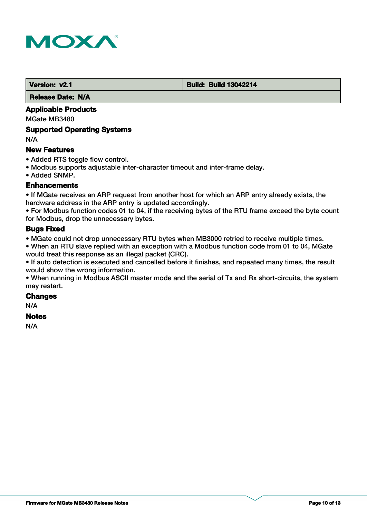

#### **Version: v2.1 Build: Build: Build 13042214**

 **Release Date: N/A**

## **Applicable Products**

MGate MB3480

#### **Supported Operating Systems**

N/A

#### **New Features**

- Added RTS toggle flow control.
- Modbus supports adjustable inter-character timeout and inter-frame delay.
- Added SNMP.

#### **Enhancements**

• If MGate receives an ARP request from another host for which an ARP entry already exists, the hardware address in the ARP entry is updated accordingly.

• For Modbus function codes 01 to 04, if the receiving bytes of the RTU frame exceed the byte count for Modbus, drop the unnecessary bytes.

## **Bugs Fixed**

• MGate could not drop unnecessary RTU bytes when MB3000 retried to receive multiple times.

• When an RTU slave replied with an exception with a Modbus function code from 01 to 04, MGate would treat this response as an illegal packet (CRC).

• If auto detection is executed and cancelled before it finishes, and repeated many times, the result would show the wrong information.

• When running in Modbus ASCII master mode and the serial of Tx and Rx short-circuits, the system may restart.

## **Changes**

N/A

#### **Notes**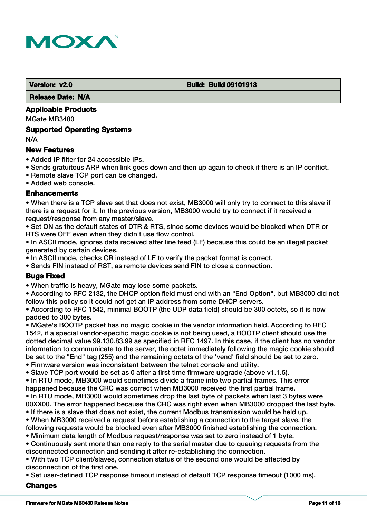

#### **Version: v2.0 Build: Build 09101913**

 **Release Date: N/A**

## **Applicable Products**

MGate MB3480

#### **Supported Operating Systems**

N/A

#### **New Features**

- Added IP filter for 24 accessible IPs.
- Sends gratuitous ARP when link goes down and then up again to check if there is an IP conflict.
- Remote slave TCP port can be changed.

• Added web console.

#### **Enhancements**

• When there is a TCP slave set that does not exist, MB3000 will only try to connect to this slave if there is a request for it. In the previous version, MB3000 would try to connect if it received a request/response from any master/slave.

• Set ON as the default states of DTR & RTS, since some devices would be blocked when DTR or RTS were OFF even when they didn't use flow control.

• In ASCII mode, ignores data received after line feed (LF) because this could be an illegal packet generated by certain devices.

• In ASCII mode, checks CR instead of LF to verify the packet format is correct.

• Sends FIN instead of RST, as remote devices send FIN to close a connection.

## **Bugs Fixed**

• When traffic is heavy, MGate may lose some packets.

• According to RFC 2132, the DHCP option field must end with an "End Option", but MB3000 did not follow this policy so it could not get an IP address from some DHCP servers.

• According to RFC 1542, minimal BOOTP (the UDP data field) should be 300 octets, so it is now padded to 300 bytes.

• MGate's BOOTP packet has no magic cookie in the vendor information field. According to RFC 1542, if a special vendor-specific magic cookie is not being used, a BOOTP client should use the dotted decimal value 99.130.83.99 as specified in RFC 1497. In this case, if the client has no vendor information to communicate to the server, the octet immediately following the magic cookie should be set to the "End" tag (255) and the remaining octets of the 'vend' field should be set to zero.

- Firmware version was inconsistent between the telnet console and utility.
- Slave TCP port would be set as 0 after a first time firmware upgrade (above v1.1.5).
- In RTU mode, MB3000 would sometimes divide a frame into two partial frames. This error happened because the CRC was correct when MB3000 received the first partial frame.
- In RTU mode, MB3000 would sometimes drop the last byte of packets when last 3 bytes were 00XX00. The error happened because the CRC was right even when MB3000 dropped the last byte.
- If there is a slave that does not exist, the current Modbus transmission would be held up.
- When MB3000 received a request before establishing a connection to the target slave, the following requests would be blocked even after MB3000 finished establishing the connection.
- Minimum data length of Modbus request/response was set to zero instead of 1 byte.
- Continuously sent more than one reply to the serial master due to queuing requests from the disconnected connection and sending it after re-establishing the connection.

• With two TCP client/slaves, connection status of the second one would be affected by disconnection of the first one.

• Set user-defined TCP response timeout instead of default TCP response timeout (1000 ms).

#### **Changes**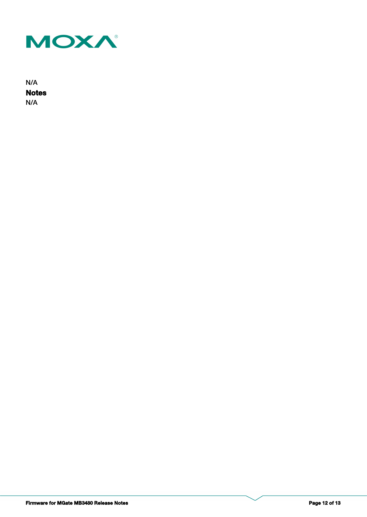

**Notes** N/A N/A